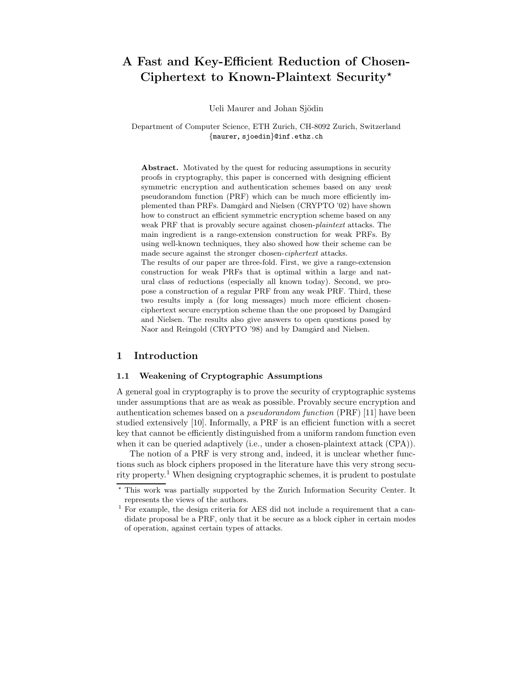# A Fast and Key-Efficient Reduction of Chosen-Ciphertext to Known-Plaintext Security\*

Ueli Maurer and Johan Sjödin

Department of Computer Science, ETH Zurich, CH-8092 Zurich, Switzerland {maurer, sjoedin}@inf.ethz.ch

Abstract. Motivated by the quest for reducing assumptions in security proofs in cryptography, this paper is concerned with designing efficient symmetric encryption and authentication schemes based on any *weak* pseudorandom function (PRF) which can be much more efficiently implemented than PRFs. Damgård and Nielsen (CRYPTO '02) have shown how to construct an efficient symmetric encryption scheme based on any weak PRF that is provably secure against chosen-plaintext attacks. The main ingredient is a range-extension construction for weak PRFs. By using well-known techniques, they also showed how their scheme can be made secure against the stronger chosen-ciphertext attacks.

The results of our paper are three-fold. First, we give a range-extension construction for weak PRFs that is optimal within a large and natural class of reductions (especially all known today). Second, we propose a construction of a regular PRF from any weak PRF. Third, these two results imply a (for long messages) much more efficient chosenciphertext secure encryption scheme than the one proposed by Damgård and Nielsen. The results also give answers to open questions posed by Naor and Reingold (CRYPTO '98) and by Damgård and Nielsen.

### 1 Introduction

### 1.1 Weakening of Cryptographic Assumptions

A general goal in cryptography is to prove the security of cryptographic systems under assumptions that are as weak as possible. Provably secure encryption and authentication schemes based on a pseudorandom function (PRF) [11] have been studied extensively [10]. Informally, a PRF is an efficient function with a secret key that cannot be efficiently distinguished from a uniform random function even when it can be queried adaptively (i.e., under a chosen-plaintext attack (CPA)).

The notion of a PRF is very strong and, indeed, it is unclear whether functions such as block ciphers proposed in the literature have this very strong security property. <sup>1</sup> When designing cryptographic schemes, it is prudent to postulate

<sup>?</sup> This work was partially supported by the Zurich Information Security Center. It represents the views of the authors.

<sup>1</sup> For example, the design criteria for AES did not include a requirement that a candidate proposal be a PRF, only that it be secure as a block cipher in certain modes of operation, against certain types of attacks.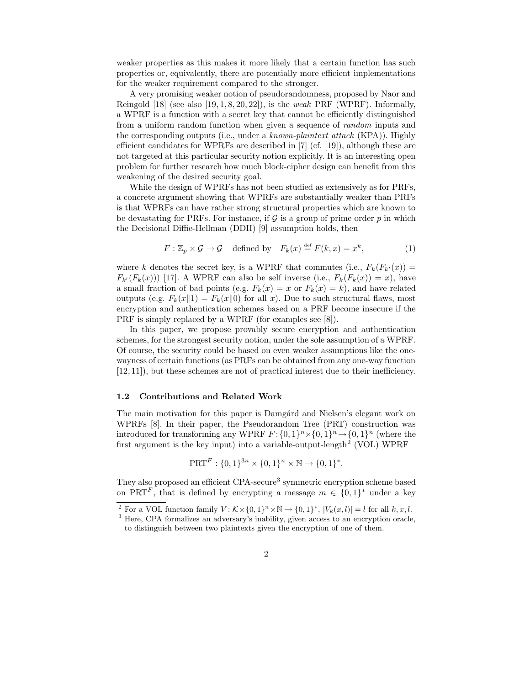weaker properties as this makes it more likely that a certain function has such properties or, equivalently, there are potentially more efficient implementations for the weaker requirement compared to the stronger.

A very promising weaker notion of pseudorandomness, proposed by Naor and Reingold  $[18]$  (see also  $[19, 1, 8, 20, 22]$ ), is the *weak* PRF (WPRF). Informally, a WPRF is a function with a secret key that cannot be efficiently distinguished from a uniform random function when given a sequence of random inputs and the corresponding outputs (i.e., under a known-plaintext attack (KPA)). Highly efficient candidates for WPRFs are described in  $[7]$  (cf. [19]), although these are not targeted at this particular security notion explicitly. It is an interesting open problem for further research how much block-cipher design can benefit from this weakening of the desired security goal.

While the design of WPRFs has not been studied as extensively as for PRFs, a concrete argument showing that WPRFs are substantially weaker than PRFs is that WPRFs can have rather strong structural properties which are known to be devastating for PRFs. For instance, if  $\mathcal G$  is a group of prime order  $p$  in which the Decisional Diffie-Hellman (DDH) [9] assumption holds, then

$$
F: \mathbb{Z}_p \times \mathcal{G} \to \mathcal{G} \quad \text{defined by} \quad F_k(x) \stackrel{\text{def}}{=} F(k, x) = x^k, \tag{1}
$$

where k denotes the secret key, is a WPRF that commutes (i.e.,  $F_k(F_{k'}(x)) =$  $F_{k'}(F_k(x))$  [17]. A WPRF can also be self inverse (i.e.,  $F_k(F_k(x)) = x$ ), have a small fraction of bad points (e.g.  $F_k(x) = x$  or  $F_k(x) = k$ ), and have related outputs (e.g.  $F_k(x||1) = F_k(x||0)$  for all x). Due to such structural flaws, most encryption and authentication schemes based on a PRF become insecure if the PRF is simply replaced by a WPRF (for examples see [8]).

In this paper, we propose provably secure encryption and authentication schemes, for the strongest security notion, under the sole assumption of a WPRF. Of course, the security could be based on even weaker assumptions like the onewayness of certain functions (as PRFs can be obtained from any one-way function [12, 11]), but these schemes are not of practical interest due to their inefficiency.

#### 1.2 Contributions and Related Work

The main motivation for this paper is Damgård and Nielsen's elegant work on WPRFs [8]. In their paper, the Pseudorandom Tree (PRT) construction was introduced for transforming any WPRF  $F: \{0,1\}^n \times \{0,1\}^n \to \{0,1\}^n$  (where the first argument is the key input) into a variable-output-length<sup>2</sup> (VOL) WPRF

$$
PRT^{F}: \{0,1\}^{3n} \times \{0,1\}^{n} \times \mathbb{N} \to \{0,1\}^{*}.
$$

They also proposed an efficient CPA-secure<sup>3</sup> symmetric encryption scheme based on PRT<sup>F</sup>, that is defined by encrypting a message  $m \in \{0,1\}^*$  under a key

<sup>&</sup>lt;sup>2</sup> For a VOL function family  $V: \mathcal{K} \times \{0,1\}^n \times \mathbb{N} \to \{0,1\}^*, |V_k(x, l)| = l$  for all  $k, x, l$ .

<sup>3</sup> Here, CPA formalizes an adversary's inability, given access to an encryption oracle, to distinguish between two plaintexts given the encryption of one of them.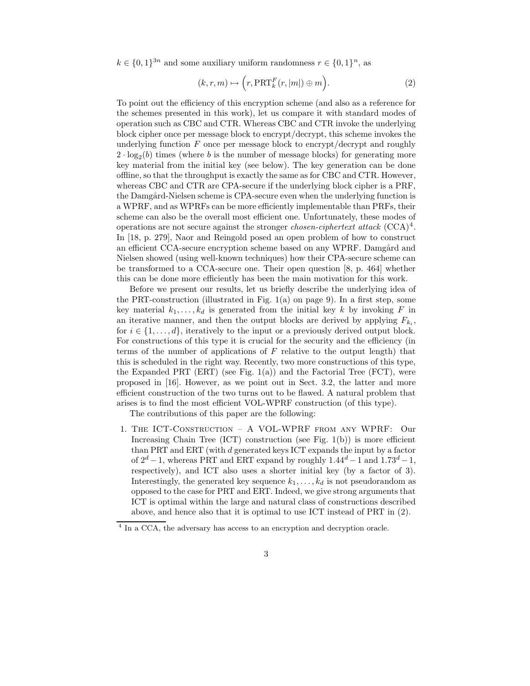$k \in \{0,1\}^{3n}$  and some auxiliary uniform randomness  $r \in \{0,1\}^n$ , as

$$
(k, r, m) \mapsto \left(r, \text{PRT}_k^F(r, |m|) \oplus m\right).
$$
 (2)

To point out the efficiency of this encryption scheme (and also as a reference for the schemes presented in this work), let us compare it with standard modes of operation such as CBC and CTR. Whereas CBC and CTR invoke the underlying block cipher once per message block to encrypt/decrypt, this scheme invokes the underlying function  $F$  once per message block to encrypt/decrypt and roughly  $2 \cdot \log_2(b)$  times (where b is the number of message blocks) for generating more key material from the initial key (see below). The key generation can be done offline, so that the throughput is exactly the same as for CBC and CTR. However, whereas CBC and CTR are CPA-secure if the underlying block cipher is a PRF, the Damgård-Nielsen scheme is CPA-secure even when the underlying function is a WPRF, and as WPRFs can be more efficiently implementable than PRFs, their scheme can also be the overall most efficient one. Unfortunately, these modes of operations are not secure against the stronger *chosen-ciphertext attack*  $(CCA)^4$ . In [18, p. 279], Naor and Reingold posed an open problem of how to construct an efficient CCA-secure encryption scheme based on any WPRF. Damgård and Nielsen showed (using well-known techniques) how their CPA-secure scheme can be transformed to a CCA-secure one. Their open question [8, p. 464] whether this can be done more efficiently has been the main motivation for this work.

Before we present our results, let us briefly describe the underlying idea of the PRT-construction (illustrated in Fig. 1(a) on page 9). In a first step, some key material  $k_1, \ldots, k_d$  is generated from the initial key k by invoking F in an iterative manner, and then the output blocks are derived by applying  $F_{k_i}$ , for  $i \in \{1, \ldots, d\}$ , iteratively to the input or a previously derived output block. For constructions of this type it is crucial for the security and the efficiency (in terms of the number of applications of  $F$  relative to the output length) that this is scheduled in the right way. Recently, two more constructions of this type, the Expanded PRT (ERT) (see Fig.  $1(a)$ ) and the Factorial Tree (FCT), were proposed in [16]. However, as we point out in Sect. 3.2, the latter and more efficient construction of the two turns out to be flawed. A natural problem that arises is to find the most efficient VOL-WPRF construction (of this type).

The contributions of this paper are the following:

1. The ICT-Construction – A VOL-WPRF from any WPRF: Our Increasing Chain Tree  $(ICT)$  construction (see Fig. 1(b)) is more efficient than PRT and ERT (with d generated keys ICT expands the input by a factor of  $2^d - 1$ , whereas PRT and ERT expand by roughly  $1.44^d - 1$  and  $1.73^d - 1$ , respectively), and ICT also uses a shorter initial key (by a factor of 3). Interestingly, the generated key sequence  $k_1, \ldots, k_d$  is not pseudorandom as opposed to the case for PRT and ERT. Indeed, we give strong arguments that ICT is optimal within the large and natural class of constructions described above, and hence also that it is optimal to use ICT instead of PRT in (2).

<sup>&</sup>lt;sup>4</sup> In a CCA, the adversary has access to an encryption and decryption oracle.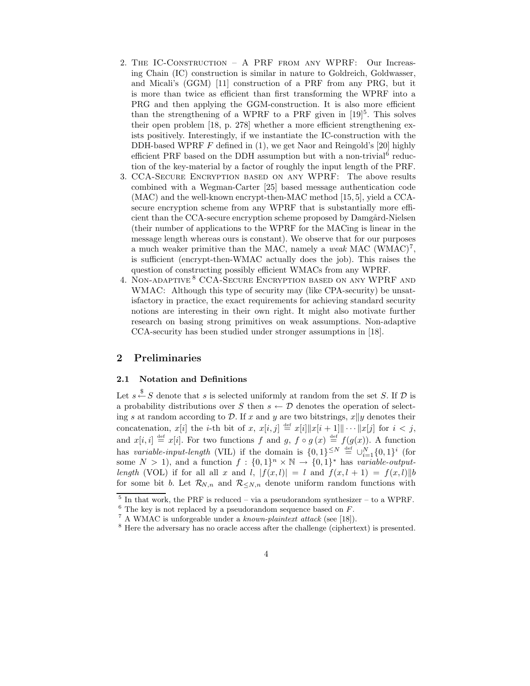- 2. The IC-Construction A PRF from any WPRF: Our Increasing Chain (IC) construction is similar in nature to Goldreich, Goldwasser, and Micali's (GGM) [11] construction of a PRF from any PRG, but it is more than twice as efficient than first transforming the WPRF into a PRG and then applying the GGM-construction. It is also more efficient than the strengthening of a WPRF to a PRF given in  $[19]$ <sup>5</sup>. This solves their open problem [18, p. 278] whether a more efficient strengthening exists positively. Interestingly, if we instantiate the IC-construction with the DDH-based WPRF  $F$  defined in (1), we get Naor and Reingold's [20] highly efficient PRF based on the DDH assumption but with a non-trivial<sup>6</sup> reduction of the key-material by a factor of roughly the input length of the PRF.
- 3. CCA-Secure Encryption based on any WPRF: The above results combined with a Wegman-Carter [25] based message authentication code (MAC) and the well-known encrypt-then-MAC method [15, 5], yield a CCAsecure encryption scheme from any WPRF that is substantially more efficient than the CCA-secure encryption scheme proposed by Damgård-Nielsen (their number of applications to the WPRF for the MACing is linear in the message length whereas ours is constant). We observe that for our purposes a much weaker primitive than the MAC, namely a weak MAC  $(WMAC)^7$ , is sufficient (encrypt-then-WMAC actually does the job). This raises the question of constructing possibly efficient WMACs from any WPRF.
- 4. Non-adaptive <sup>8</sup> CCA-Secure Encryption based on any WPRF and WMAC: Although this type of security may (like CPA-security) be unsatisfactory in practice, the exact requirements for achieving standard security notions are interesting in their own right. It might also motivate further research on basing strong primitives on weak assumptions. Non-adaptive CCA-security has been studied under stronger assumptions in [18].

### 2 Preliminaries

### 2.1 Notation and Definitions

Let  $s \stackrel{\$}{\leftarrow} S$  denote that s is selected uniformly at random from the set S. If  $D$  is a probability distributions over S then  $s \leftarrow \mathcal{D}$  denotes the operation of selecting s at random according to  $\mathcal{D}$ . If x and y are two bitstrings,  $x||y$  denotes their concatenation,  $x[i]$  the *i*-th bit of x,  $x[i, j] \stackrel{\text{def}}{=} x[i] \|x[i+1]\| \cdots \|x[j]$  for  $i < j$ , and  $x[i, i] \stackrel{\text{def}}{=} x[i]$ . For two functions f and g,  $f \circ g(x) \stackrel{\text{def}}{=} f(g(x))$ . A function has variable-input-length (VIL) if the domain is  $\{0,1\}^{\leq N} \stackrel{\text{def}}{=} \bigcup_{i=1}^{N} \{0,1\}^{i}$  (for some  $N > 1$ , and a function  $f: \{0,1\}^n \times \mathbb{N} \to \{0,1\}^*$  has variable-outputlength (VOL) if for all all x and l,  $|f(x, l)| = l$  and  $f(x, l + 1) = f(x, l)$ for some bit b. Let  $\mathcal{R}_{N,n}$  and  $\mathcal{R}_{\leq N,n}$  denote uniform random functions with

 $5$  In that work, the PRF is reduced – via a pseudorandom synthesizer – to a WPRF.

 $6$  The key is not replaced by a pseudorandom sequence based on  $F$ .

 $^7$  A WMAC is unforgeable under a *known-plaintext attack* (see [18]).

<sup>8</sup> Here the adversary has no oracle access after the challenge (ciphertext) is presented.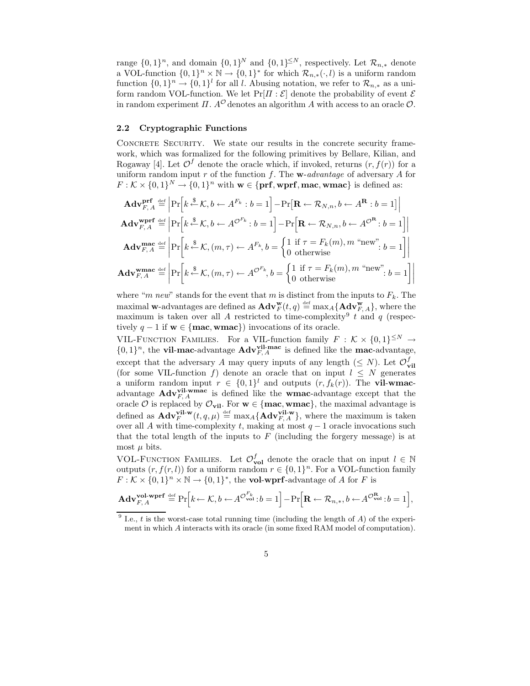range  $\{0,1\}^n$ , and domain  $\{0,1\}^N$  and  $\{0,1\}^{\leq N}$ , respectively. Let  $\mathcal{R}_{n,*}$  denote a VOL-function  $\{0,1\}^n \times \mathbb{N} \to \{0,1\}^*$  for which  $\mathcal{R}_{n,*}(\cdot, l)$  is a uniform random function  $\{0,1\}^n \to \{0,1\}^l$  for all l. Abusing notation, we refer to  $\mathcal{R}_{n,*}$  as a uniform random VOL-function. We let  $Pr[I: \mathcal{E}]$  denote the probability of event  $\mathcal E$ in random experiment  $\Pi$ .  $A^{\mathcal{O}}$  denotes an algorithm A with access to an oracle  $\mathcal{O}$ .

### 2.2 Cryptographic Functions

CONCRETE SECURITY. We state our results in the concrete security framework, which was formalized for the following primitives by Bellare, Kilian, and Rogaway [4]. Let  $\mathcal{O}^f$  denote the oracle which, if invoked, returns  $(r, f(r))$  for a uniform random input  $r$  of the function  $f$ . The **w**-advantage of adversary  $A$  for  $F: \mathcal{K} \times \{0,1\}^N \to \{0,1\}^n$  with  $\mathbf{w} \in \{\text{prf}, \text{wprf}, \text{mac}, \text{wmac}\}\$  is defined as:

$$
\mathbf{Adv}_{F,A}^{\mathbf{prf}} \stackrel{\text{def}}{=} \left| \Pr \left[ k \stackrel{\$}{\leftarrow} \mathcal{K}, b \leftarrow A^{F_k} : b = 1 \right] - \Pr \left[ \mathbf{R} \leftarrow \mathcal{R}_{N,n}, b \leftarrow A^{\mathbf{R}} : b = 1 \right] \right|
$$
\n
$$
\mathbf{Adv}_{F,A}^{\mathbf{wprf}} \stackrel{\text{def}}{=} \left| \Pr \left[ k \stackrel{\$}{\leftarrow} \mathcal{K}, b \leftarrow A^{\mathcal{O}^{F_k}} : b = 1 \right] - \Pr \left[ \mathbf{R} \leftarrow \mathcal{R}_{N,n}, b \leftarrow A^{\mathcal{O}^{\mathbf{R}}} : b = 1 \right] \right|
$$
\n
$$
\mathbf{Adv}_{F,A}^{\mathbf{mac}} \stackrel{\text{def}}{=} \left| \Pr \left[ k \stackrel{\$}{\leftarrow} \mathcal{K}, (m, \tau) \leftarrow A^{F_k}, b = \begin{cases} 1 & \text{if } \tau = F_k(m), m \text{ "new"} \\ 0 & \text{otherwise} \end{cases} : b = 1 \right] \right|
$$
\n
$$
\mathbf{Adv}_{F,A}^{\mathbf{wmac}} \stackrel{\text{def}}{=} \left| \Pr \left[ k \stackrel{\$}{\leftarrow} \mathcal{K}, (m, \tau) \leftarrow A^{\mathcal{O}^{F_k}}, b = \begin{cases} 1 & \text{if } \tau = F_k(m), m \text{ "new"} \\ 0 & \text{otherwise} \end{cases} : b = 1 \right] \right|
$$

where "m new" stands for the event that m is distinct from the inputs to  $F_k$ . The maximal w-advantages are defined as  $\mathbf{Adv}_{F}^{\mathbf{w}}(t,q) \stackrel{\text{def}}{=} \max_{A} {\{\mathbf{Adv}_{F,\,A}^{\mathbf{w}}\}}$ , where the maximum is taken over all A restricted to time-complexity<sup>9</sup> t and q (respectively  $q - 1$  if  $w \in \{mac, wmac\}$  invocations of its oracle.

VIL-FUNCTION FAMILIES. For a VIL-function family  $F : \mathcal{K} \times \{0,1\}^{\leq N} \to$  $\{0,1\}^n$ , the **vil-mac-**advantage  $\mathbf{Adv}_{F,A}^{\text{vil-mac}}$  is defined like the **mac-**advantage, except that the adversary A may query inputs of any length  $(\leq N)$ . Let  $\mathcal{O}_{\mathbf{vil}}^f$ (for some VIL-function f) denote an oracle that on input  $l \leq N$  generates a uniform random input  $r \in \{0,1\}^l$  and outputs  $(r, f_k(r))$ . The **vil-wmac**advantage  $\text{Adv}_{F,A}^{\text{vil-wmac}}$  is defined like the wmac-advantage except that the oracle  $\overline{O}$  is replaced by  $\mathcal{O}_{\text{vil}}$ . For  $\mathbf{w} \in \{\text{mac}, \text{wmac}\}$ , the maximal advantage is defined as  $\mathbf{Adv}_{F}^{\mathbf{vil-w}}(t, q, \mu) \stackrel{\text{def}}{=} \max_{A} {\mathbf{Adv}_{F,A}^{\mathbf{vil-w}}},$  where the maximum is taken over all A with time-complexity t, making at most  $q-1$  oracle invocations such that the total length of the inputs to  $F$  (including the forgery message) is at most  $\mu$  bits.

VOL-FUNCTION FAMILIES. Let  $\mathcal{O}_{\text{vol}}^f$  denote the oracle that on input  $l \in \mathbb{N}$ outputs  $(r, f(r, l))$  for a uniform random  $r \in \{0, 1\}^n$ . For a VOL-function family  $F: \mathcal{K} \times \{0,1\}^n \times \mathbb{N} \to \{0,1\}^*$ , the **vol-wprf**-advantage of A for F is

$$
\mathbf{Adv}_{F,A}^{\mathbf{vol\text{-}wprf}}\stackrel{\mathrm{{\scriptscriptstyle def}}}{=} \Pr\Big[k\!\leftarrow\! \mathcal{K},b\leftarrow\! A^{\mathcal{O}_{\mathbf{vol}}^{F_k}}\! : \! b=1 \Big]\! -\! \Pr\Big[\mathbf{R}\leftarrow \mathcal{R}_{n,*},b\leftarrow\! A^{\mathcal{O}_{\mathbf{vol}}^{\mathbf{R}}}\! : \! b=1 \Big],
$$

<sup>9</sup> I.e.,  $t$  is the worst-case total running time (including the length of  $A$ ) of the experiment in which A interacts with its oracle (in some fixed RAM model of computation).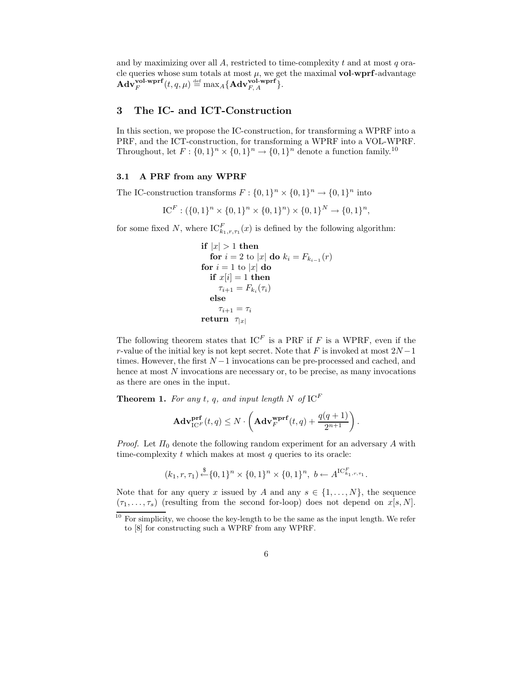and by maximizing over all  $A$ , restricted to time-complexity  $t$  and at most  $q$  oracle queries whose sum totals at most  $\mu$ , we get the maximal vol-wprf-advantage  $\mathbf{Adv}_{F}^{\textbf{vol-wprf}}(t,q,\mu) \stackrel{\text{def}}{=} \max_{A} \{\mathbf{Adv}_{F,\,A}^{\textbf{vol-wprf}}\}.$ 

# 3 The IC- and ICT-Construction

In this section, we propose the IC-construction, for transforming a WPRF into a PRF, and the ICT-construction, for transforming a WPRF into a VOL-WPRF. Throughout, let  $F: \{0,1\}^n \times \{0,1\}^n \to \{0,1\}^n$  denote a function family.<sup>10</sup>

### 3.1 A PRF from any WPRF

The IC-construction transforms  $F: \{0,1\}^n \times \{0,1\}^n \to \{0,1\}^n$  into

 $\mathrm{IC}^F: (\{0,1\}^n \times \{0,1\}^n \times \{0,1\}^n) \times \{0,1\}^N \to \{0,1\}^n,$ 

for some fixed N, where  $IC_{k_1,r,\tau_1}^F(x)$  is defined by the following algorithm:

\n
$$
\text{if } |x| > 1 \text{ then}
$$
\n  
\n $\text{for } i = 2 \text{ to } |x| \text{ do } k_i = F_{k_{i-1}}(r)$ \n  
\n $\text{for } i = 1 \text{ to } |x| \text{ do}$ \n  
\n $\text{if } x[i] = 1 \text{ then}$ \n  
\n $\tau_{i+1} = F_{k_i}(\tau_i)$ \n  
\n $\text{else}$ \n  
\n $\tau_{i+1} = \tau_i$ \n  
\n $\tau_{|x|}$ \n

The following theorem states that  $IC<sup>F</sup>$  is a PRF if F is a WPRF, even if the r-value of the initial key is not kept secret. Note that F is invoked at most  $2N-1$ times. However, the first  $N-1$  invocations can be pre-processed and cached, and hence at most N invocations are necessary or, to be precise, as many invocations as there are ones in the input.

**Theorem 1.** For any t, q, and input length N of  $IC<sup>F</sup>$ 

$$
\mathbf{Adv}_{\mathrm{IC}^F}^{\mathbf{prf}}(t,q) \leq N \cdot \left(\mathbf{Adv}_{F}^{\mathbf{wprf}}(t,q) + \frac{q(q+1)}{2^{n+1}}\right).
$$

*Proof.* Let  $\Pi_0$  denote the following random experiment for an adversary A with time-complexity  $t$  which makes at most  $q$  queries to its oracle:

$$
(k_1, r, \tau_1) \stackrel{\$}{\leftarrow} \{0, 1\}^n \times \{0, 1\}^n \times \{0, 1\}^n, \ b \leftarrow A^{\mathrm{IC}_{k_1, r, \tau_1}^F}.
$$

Note that for any query x issued by A and any  $s \in \{1, ..., N\}$ , the sequence  $(\tau_1, \ldots, \tau_s)$  (resulting from the second for-loop) does not depend on  $x[s, N]$ .

 $10$  For simplicity, we choose the key-length to be the same as the input length. We refer to [8] for constructing such a WPRF from any WPRF.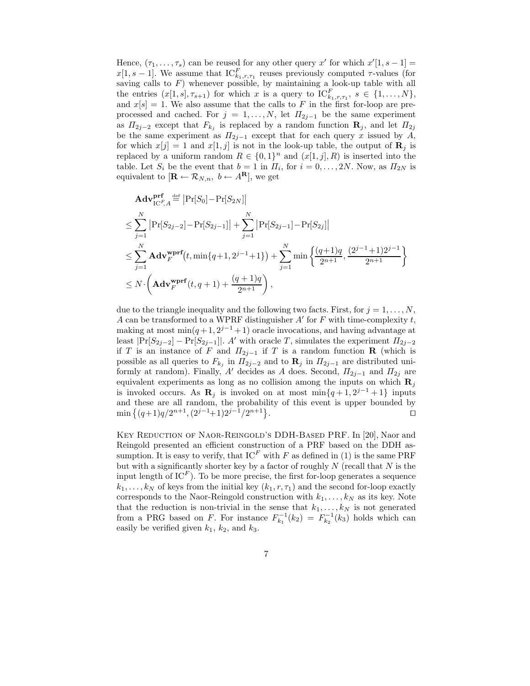Hence,  $(\tau_1, \ldots, \tau_s)$  can be reused for any other query x' for which  $x'[1, s-1] =$  $x[1, s-1]$ . We assume that  $IC_{k_1, r, \tau_1}^F$  reuses previously computed  $\tau$ -values (for saving calls to  $F$ ) whenever possible, by maintaining a look-up table with all the entries  $(x[1, s], \tau_{s+1})$  for which x is a query to  $IC_{k_1, r, \tau_1}^F$ ,  $s \in \{1, ..., N\}$ , and  $x[s] = 1$ . We also assume that the calls to F in the first for-loop are preprocessed and cached. For  $j = 1, ..., N$ , let  $\Pi_{2j-1}$  be the same experiment as  $\Pi_{2j-2}$  except that  $F_{k_j}$  is replaced by a random function  $\mathbf{R}_j$ , and let  $\Pi_{2j}$ be the same experiment as  $\Pi_{2j-1}$  except that for each query x issued by A, for which  $x[j] = 1$  and  $x[1, j]$  is not in the look-up table, the output of  $\mathbf{R}_j$  is replaced by a uniform random  $R \in \{0,1\}^n$  and  $(x[1,j],R)$  is inserted into the table. Let  $S_i$  be the event that  $b = 1$  in  $\Pi_i$ , for  $i = 0, \ldots, 2N$ . Now, as  $\Pi_{2N}$  is equivalent to  $[\mathbf{R} \leftarrow \mathcal{R}_{N,n}, b \leftarrow A^{\mathbf{R}}]$ , we get

$$
\mathbf{Adv}_{\text{IC}^{F}}^{\text{prf}}\underset{A}{\overset{\text{def}}{=}}\left|\Pr[S_{0}]-\Pr[S_{2N}]\right|
$$
\n
$$
\leq \sum_{j=1}^{N}\left|\Pr[S_{2j-2}]-\Pr[S_{2j-1}]\right| + \sum_{j=1}^{N}\left|\Pr[S_{2j-1}]-\Pr[S_{2j}]\right|
$$
\n
$$
\leq \sum_{j=1}^{N}\mathbf{Adv}_{F}^{\text{wprf}}(t, \min\{q+1, 2^{j-1}+1\}) + \sum_{j=1}^{N}\min\left\{\frac{(q+1)q}{2^{n+1}}, \frac{(2^{j-1}+1)2^{j-1}}{2^{n+1}}\right\}
$$
\n
$$
\leq N \cdot \left(\mathbf{Adv}_{F}^{\text{wprf}}(t, q+1) + \frac{(q+1)q}{2^{n+1}}\right),
$$

due to the triangle inequality and the following two facts. First, for  $j = 1, \ldots, N$ , A can be transformed to a WPRF distinguisher  $A'$  for F with time-complexity t, making at most  $\min(q+1, 2^{j-1}+1)$  oracle invocations, and having advantage at least  $|\Pr[S_{2j-2}] - \Pr[S_{2j-1}]|$ . A' with oracle T, simulates the experiment  $\Pi_{2j-2}$ if T is an instance of F and  $\Pi_{2j-1}$  if T is a random function R (which is possible as all queries to  $F_{k_j}$  in  $\Pi_{2j-2}$  and to  $\mathbf{R}_j$  in  $\Pi_{2j-1}$  are distributed uniformly at random). Finally, A' decides as A does. Second,  $\Pi_{2j-1}$  and  $\Pi_{2j}$  are equivalent experiments as long as no collision among the inputs on which  $\mathbf{R}_i$ is invoked occurs. As  $\mathbf{R}_j$  is invoked on at most  $\min\{q+1, 2^{j-1}+1\}$  inputs and these are all random, the probability of this event is upper bounded by  $\min\left\{(q+1)q/2^{n+1},(2^{j-1}+1)2^{j-1}/2^{n+1}\right\}$ . The contract of the contract of the contract of the contract of the contract of the contract of the contract of the contract of the contract of the contract of the contract of the contract of the contract of the contract

Key Reduction of Naor-Reingold's DDH-Based PRF. In [20], Naor and Reingold presented an efficient construction of a PRF based on the DDH assumption. It is easy to verify, that  $IC<sup>F</sup>$  with F as defined in (1) is the same PRF but with a significantly shorter key by a factor of roughly  $N$  (recall that  $N$  is the input length of  $IC<sup>F</sup>$ ). To be more precise, the first for-loop generates a sequence  $k_1, \ldots, k_N$  of keys from the initial key  $(k_1, r, \tau_1)$  and the second for-loop exactly corresponds to the Naor-Reingold construction with  $k_1, \ldots, k_N$  as its key. Note that the reduction is non-trivial in the sense that  $k_1, \ldots, k_N$  is not generated from a PRG based on F. For instance  $F_{k_1}^{-1}(k_2) = F_{k_2}^{-1}(k_3)$  holds which can easily be verified given  $k_1$ ,  $k_2$ , and  $k_3$ .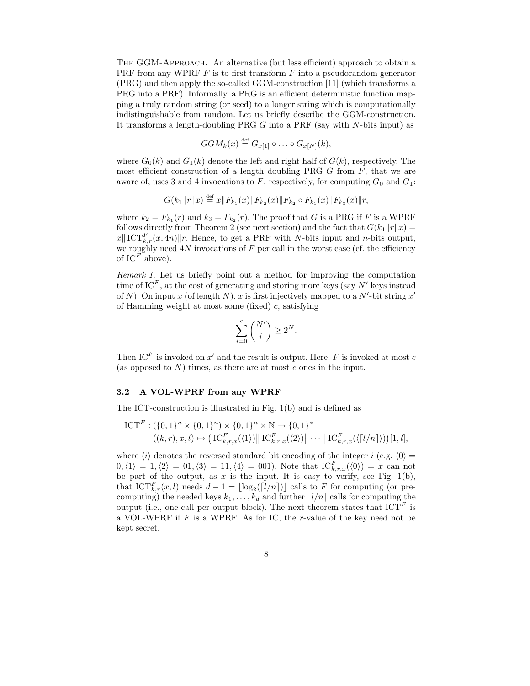The GGM-Approach. An alternative (but less efficient) approach to obtain a PRF from any WPRF  $F$  is to first transform  $F$  into a pseudorandom generator (PRG) and then apply the so-called GGM-construction [11] (which transforms a PRG into a PRF). Informally, a PRG is an efficient deterministic function mapping a truly random string (or seed) to a longer string which is computationally indistinguishable from random. Let us briefly describe the GGM-construction. It transforms a length-doubling PRG G into a PRF (say with N-bits input) as

$$
GGM_k(x) \stackrel{\text{def}}{=} G_{x[1]} \circ \ldots \circ G_{x[N]}(k),
$$

where  $G_0(k)$  and  $G_1(k)$  denote the left and right half of  $G(k)$ , respectively. The most efficient construction of a length doubling PRG  $G$  from  $F$ , that we are aware of, uses 3 and 4 invocations to F, respectively, for computing  $G_0$  and  $G_1$ :

$$
G(k_1||r||x) \stackrel{\text{def}}{=} x||F_{k_1}(x)||F_{k_2}(x)||F_{k_2} \circ F_{k_1}(x)||F_{k_3}(x)||r,
$$

where  $k_2 = F_{k_1}(r)$  and  $k_3 = F_{k_2}(r)$ . The proof that G is a PRG if F is a WPRF follows directly from Theorem 2 (see next section) and the fact that  $G(k_1||r||x) =$  $||x|| \|\mathbf{C}\mathbf{T}_{k,r}^F(x,4n)||r.$  Hence, to get a PRF with N-bits input and n-bits output, we roughly need  $4N$  invocations of  $F$  per call in the worst case (cf. the efficiency of  $IC^F$  above).

Remark 1. Let us briefly point out a method for improving the computation time of IC<sup>F</sup>, at the cost of generating and storing more keys (say  $N'$  keys instead of N). On input x (of length N), x is first injectively mapped to a N'-bit string  $x'$ of Hamming weight at most some (fixed) c, satisfying

$$
\sum_{i=0}^c \binom{N'}{i} \geq 2^N.
$$

Then  $IC^F$  is invoked on  $x'$  and the result is output. Here, F is invoked at most c (as opposed to  $N$ ) times, as there are at most  $c$  ones in the input.

#### 3.2 A VOL-WPRF from any WPRF

The ICT-construction is illustrated in Fig. 1(b) and is defined as

$$
ICT^{F}: (\{0,1\}^{n} \times \{0,1\}^{n}) \times \{0,1\}^{n} \times \mathbb{N} \to \{0,1\}^{*}
$$
  

$$
((k,r),x,l) \mapsto (IC_{k,r,x}^{F}(\langle 1 \rangle) \|\mathrm{IC}_{k,r,x}^{F}(\langle 2 \rangle) \| \cdots \| \mathrm{IC}_{k,r,x}^{F}(\langle [l/n] \rangle)) [1,l],
$$

where  $\langle i \rangle$  denotes the reversed standard bit encoding of the integer i (e.g.  $\langle 0 \rangle =$  $0,\langle 1 \rangle = 1,\langle 2 \rangle = 01,\langle 3 \rangle = 11,\langle 4 \rangle = 001$ . Note that  $IC_{k,r,x}^F(\langle 0 \rangle) = x$  can not be part of the output, as  $x$  is the input. It is easy to verify, see Fig. 1(b), that  $\mathrm{ICT}_{k,r}^F(x, l)$  needs  $d-1 = \lfloor \log_2([l/n]) \rfloor$  calls to F for computing (or precomputing) the needed keys  $k_1, \ldots, k_d$  and further  $\lceil l/n \rceil$  calls for computing the output (i.e., one call per output block). The next theorem states that  $\text{ICT}^F$  is a VOL-WPRF if  $F$  is a WPRF. As for IC, the  $r$ -value of the key need not be kept secret.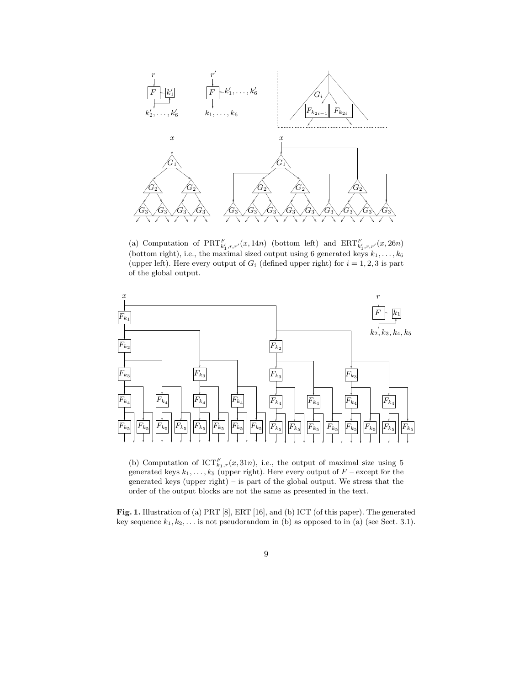



(a) Computation of  $\text{PRT}_{k'_1,r,r'}^F(x,14n)$  (bottom left) and  $\text{ERT}_{k'_1,r,r'}^F(x,26n)$ (bottom right), i.e., the maximal sized output using 6 generated keys  $k_1, \ldots, k_6$ (upper left). Here every output of  $G_i$  (defined upper right) for  $i = 1, 2, 3$  is part of the global output.



(b) Computation of  $\text{ICT}_{k_1,r}^F(x,31n)$ , i.e., the output of maximal size using 5 generated keys  $k_1, \ldots, k_5$  (upper right). Here every output of  $F$  – except for the generated keys (upper right) – is part of the global output. We stress that the order of the output blocks are not the same as presented in the text.

Fig. 1. Illustration of (a) PRT [8], ERT [16], and (b) ICT (of this paper). The generated key sequence  $k_1, k_2, \ldots$  is not pseudorandom in (b) as opposed to in (a) (see Sect. 3.1).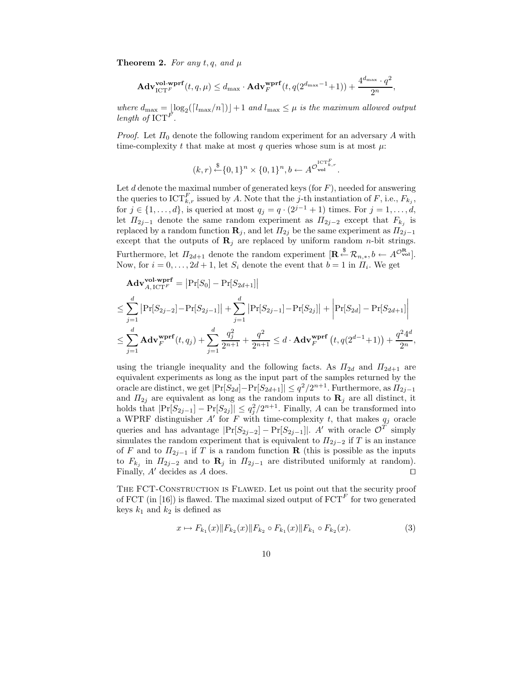**Theorem 2.** For any  $t, q$ , and  $\mu$ 

$$
\mathbf{Adv}_{\mathrm{ICT}^F}^{\mathbf{vol\text{-}wprf}}(t,q,\mu) \leq d_{\max}\cdot\mathbf{Adv}_{F}^{\mathbf{wprf}}(t,q(2^{d_{\max}-1}+1))+\frac{4^{d_{\max}}\cdot q^2}{2^n},
$$

where  $d_{\text{max}} = \lfloor \log_2((l_{\text{max}}/n)) \rfloor + 1$  and  $l_{\text{max}} \leq \mu$  is the maximum allowed output length of  $\mathrm{ICT}^F$ .

*Proof.* Let  $\Pi_0$  denote the following random experiment for an adversary A with time-complexity t that make at most q queries whose sum is at most  $\mu$ :

$$
(k,r) \stackrel{\$}{\leftarrow} \{0,1\}^n \times \{0,1\}^n, b \leftarrow A^{\mathcal{O}_{\text{vol}}^{\text{ICT}^F_{k,r}}}.
$$

Let  $d$  denote the maximal number of generated keys (for  $F$ ), needed for answering the queries to  $\text{ICT}_{k,r}^F$  issued by A. Note that the j-th instantiation of F, i.e.,  $F_{k_j}$ , for  $j \in \{1, ..., d\}$ , is queried at most  $q_j = q \cdot (2^{j-1} + 1)$  times. For  $j = 1, ..., d$ , let  $\Pi_{2j-1}$  denote the same random experiment as  $\Pi_{2j-2}$  except that  $F_{k_j}$  is replaced by a random function  $\mathbf{R}_j$ , and let  $\Pi_{2j}$  be the same experiment as  $\Pi_{2j-1}$ except that the outputs of  $\mathbf{R}_j$  are replaced by uniform random *n*-bit strings. Furthermore, let  $\Pi_{2d+1}$  denote the random experiment  $[\mathbf{R} \stackrel{\$}{\leftarrow} \mathcal{R}_{n,*}, b \leftarrow A^{\mathcal{O}_{\text{vol}}^{\mathbf{R}}}].$ Now, for  $i = 0, \ldots, 2d + 1$ , let  $S_i$  denote the event that  $b = 1$  in  $\Pi_i$ . We get

$$
\mathbf{Adv}_{A, \text{ICT}}^{\mathbf{vol\text{-}wprf}} = |\Pr[S_0] - \Pr[S_{2d+1}]|
$$
\n
$$
\leq \sum_{j=1}^{d} |\Pr[S_{2j-2}] - \Pr[S_{2j-1}]| + \sum_{j=1}^{d} |\Pr[S_{2j-1}] - \Pr[S_{2j}]| + |\Pr[S_{2d}] - \Pr[S_{2d+1}]|
$$
\n
$$
\leq \sum_{j=1}^{d} \mathbf{Adv}_{F}^{\mathbf{wprf}}(t, q_j) + \sum_{j=1}^{d} \frac{q_j^2}{2^{n+1}} + \frac{q^2}{2^{n+1}} \leq d \cdot \mathbf{Adv}_{F}^{\mathbf{wprf}}(t, q(2^{d-1}+1)) + \frac{q^2 4^d}{2^n}
$$

,

using the triangle inequality and the following facts. As  $\Pi_{2d}$  and  $\Pi_{2d+1}$  are equivalent experiments as long as the input part of the samples returned by the oracle are distinct, we get  $|\Pr[S_{2d}] - \Pr[S_{2d+1}]| \leq q^2/2^{n+1}$ . Furthermore, as  $\Pi_{2j-1}$ and  $\Pi_{2j}$  are equivalent as long as the random inputs to  $\mathbf{R}_j$  are all distinct, it holds that  $|\Pr[S_{2j-1}] - \Pr[S_{2j}]| \leq q_j^2/2^{n+1}$ . Finally, A can be transformed into a WPRF distinguisher  $A'$  for F with time-complexity t, that makes  $q_j$  oracle queries and has advantage  $|\Pr[S_{2j-2}] - \Pr[S_{2j-1}]|$ . A' with oracle  $\mathcal{O}^T$  simply simulates the random experiment that is equivalent to  $\Pi_{2i-2}$  if T is an instance of F and to  $\Pi_{2j-1}$  if T is a random function **R** (this is possible as the inputs to  $F_{k_j}$  in  $\Pi_{2j-2}$  and to  $\mathbf{R}_j$  in  $\Pi_{2j-1}$  are distributed uniformly at random). Finally,  $A'$  decides as  $A$  does.  $\square$ 

THE FCT-CONSTRUCTION IS FLAWED. Let us point out that the security proof of FCT (in [16]) is flawed. The maximal sized output of  $\mathrm{FCT}^F$  for two generated keys  $k_1$  and  $k_2$  is defined as

$$
x \mapsto F_{k_1}(x) \| F_{k_2}(x) \| F_{k_2} \circ F_{k_1}(x) \| F_{k_1} \circ F_{k_2}(x). \tag{3}
$$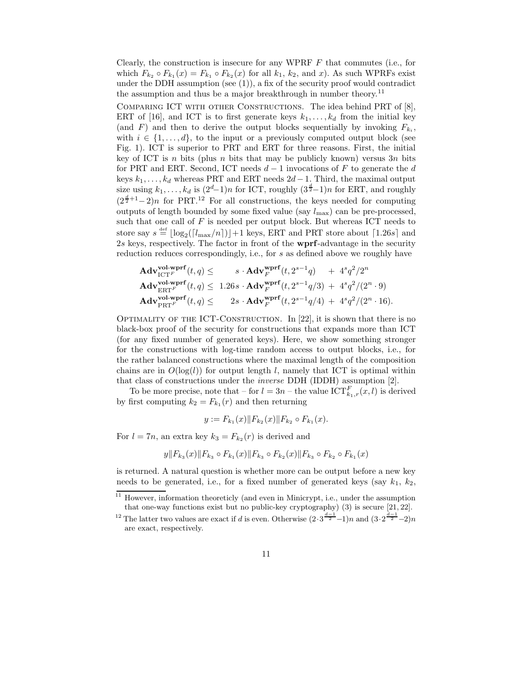Clearly, the construction is insecure for any WPRF  $F$  that commutes (i.e., for which  $F_{k_2} \circ F_{k_1}(x) = F_{k_1} \circ F_{k_2}(x)$  for all  $k_1, k_2$ , and x). As such WPRFs exist under the DDH assumption (see  $(1)$ ), a fix of the security proof would contradict the assumption and thus be a major breakthrough in number theory.<sup>11</sup>

Comparing ICT with other Constructions. The idea behind PRT of [8], ERT of [16], and ICT is to first generate keys  $k_1, \ldots, k_d$  from the initial key (and F) and then to derive the output blocks sequentially by invoking  $F_{k_i}$ , with  $i \in \{1, \ldots, d\}$ , to the input or a previously computed output block (see Fig. 1). ICT is superior to PRT and ERT for three reasons. First, the initial key of ICT is n bits (plus n bits that may be publicly known) versus  $3n$  bits for PRT and ERT. Second, ICT needs  $d-1$  invocations of F to generate the d keys  $k_1, \ldots, k_d$  whereas PRT and ERT needs  $2d-1$ . Third, the maximal output size using  $k_1, \ldots, k_d$  is  $(2^d-1)n$  for ICT, roughly  $(3^{\frac{d}{2}}-1)n$  for ERT, and roughly  $(2^{\frac{d}{2}+1}-2)n$  for PRT.<sup>12</sup> For all constructions, the keys needed for computing outputs of length bounded by some fixed value (say  $l_{\text{max}}$ ) can be pre-processed, such that one call of  $F$  is needed per output block. But whereas ICT needs to store say  $s \stackrel{\text{def}}{=} \lfloor \log_2(\lceil l_{\max}/n \rceil) \rfloor + 1$  keys, ERT and PRT store about  $\lceil 1.26s \rceil$  and 2s keys, respectively. The factor in front of the wprf-advantage in the security reduction reduces correspondingly, i.e., for s as defined above we roughly have

$$
\begin{array}{ll}\n\mathbf{Adv}_{\mathrm{ICT}^F}^{\mathbf{vol\text{-}wprf}}(t,q) \leq & s \cdot \mathbf{Adv}_{F}^{\mathbf{wprf}}(t,2^{s-1}q) + 4^sq^2/2^n \\
\mathbf{Adv}_{\mathrm{ERT}^F}^{\mathbf{vol\text{-}wprf}}(t,q) \leq & 1.26s \cdot \mathbf{Adv}_{F}^{\mathbf{wprf}}(t,2^{s-1}q/3) + 4^sq^2/(2^n \cdot 9) \\
\mathbf{Adv}_{\mathrm{ERT}^F}^{\mathbf{vol\text{-}wprf}}(t,q) \leq & 2s \cdot \mathbf{Adv}_{F}^{\mathbf{wprf}}(t,2^{s-1}q/4) + 4^sq^2/(2^n \cdot 16).\n\end{array}
$$

OPTIMALITY OF THE ICT-CONSTRUCTION. In  $[22]$ , it is shown that there is no black-box proof of the security for constructions that expands more than ICT (for any fixed number of generated keys). Here, we show something stronger for the constructions with log-time random access to output blocks, i.e., for the rather balanced constructions where the maximal length of the composition chains are in  $O(log(l))$  for output length l, namely that ICT is optimal within that class of constructions under the inverse DDH (IDDH) assumption [2].

To be more precise, note that – for  $l = 3n$  – the value  $\mathrm{ICT}_{k_1,r}^F(x, l)$  is derived by first computing  $k_2 = F_{k_1}(r)$  and then returning

$$
y := F_{k_1}(x) \| F_{k_2}(x) \| F_{k_2} \circ F_{k_1}(x).
$$

For  $l = 7n$ , an extra key  $k_3 = F_{k_2}(r)$  is derived and

$$
y||F_{k_3}(x)||F_{k_3} \circ F_{k_1}(x)||F_{k_3} \circ F_{k_2}(x)||F_{k_3} \circ F_{k_2} \circ F_{k_1}(x)
$$

is returned. A natural question is whether more can be output before a new key needs to be generated, i.e., for a fixed number of generated keys (say  $k_1$ ,  $k_2$ ,

<sup>&</sup>lt;sup>11</sup> However, information theoreticly (and even in Minicrypt, i.e., under the assumption that one-way functions exist but no public-key cryptography) (3) is secure [21, 22].

<sup>&</sup>lt;sup>12</sup> The latter two values are exact if d is even. Otherwise  $(2 \cdot 3^{\frac{d-1}{2}}-1)n$  and  $(3 \cdot 2^{\frac{d-1}{2}}-2)n$ are exact, respectively.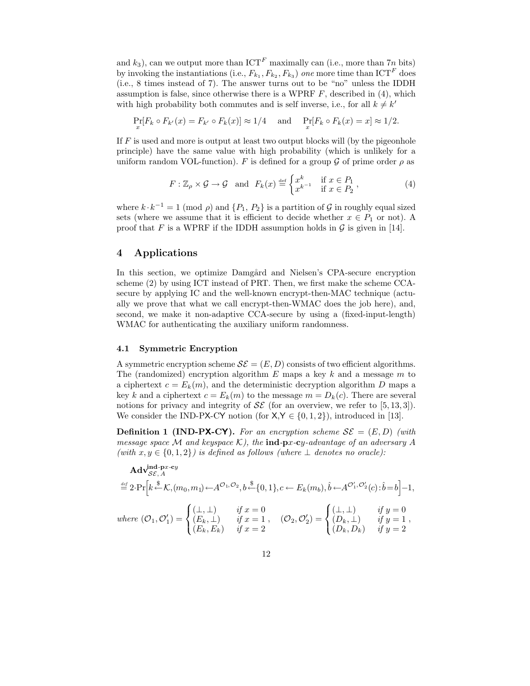and  $k_3$ ), can we output more than ICT<sup>F</sup> maximally can (i.e., more than 7n bits) by invoking the instantiations (i.e.,  $F_{k_1}, F_{k_2}, F_{k_3}$ ) one more time than ICT<sup>F</sup> does (i.e., 8 times instead of 7). The answer turns out to be "no" unless the IDDH assumption is false, since otherwise there is a WPRF  $F$ , described in  $(4)$ , which with high probability both commutes and is self inverse, i.e., for all  $k \neq k'$ 

$$
\Pr_x[F_k \circ F_{k'}(x) = F_{k'} \circ F_k(x)] \approx 1/4 \quad \text{ and } \quad \Pr_x[F_k \circ F_k(x) = x] \approx 1/2.
$$

If  $F$  is used and more is output at least two output blocks will (by the pigeonhole principle) have the same value with high probability (which is unlikely for a uniform random VOL-function). F is defined for a group  $\mathcal G$  of prime order  $\rho$  as

$$
F: \mathbb{Z}_{\rho} \times \mathcal{G} \to \mathcal{G} \quad \text{and} \quad F_k(x) \stackrel{\text{def}}{=} \begin{cases} x^k & \text{if } x \in P_1 \\ x^{k-1} & \text{if } x \in P_2 \end{cases},\tag{4}
$$

where  $k \cdot k^{-1} = 1 \pmod{p}$  and  $\{P_1, P_2\}$  is a partition of G in roughly equal sized sets (where we assume that it is efficient to decide whether  $x \in P_1$  or not). A proof that F is a WPRF if the IDDH assumption holds in  $\mathcal G$  is given in [14].

### 4 Applications

In this section, we optimize Damgård and Nielsen's CPA-secure encryption scheme (2) by using ICT instead of PRT. Then, we first make the scheme CCAsecure by applying IC and the well-known encrypt-then-MAC technique (actually we prove that what we call encrypt-then-WMAC does the job here), and, second, we make it non-adaptive CCA-secure by using a (fixed-input-length) WMAC for authenticating the auxiliary uniform randomness.

#### 4.1 Symmetric Encryption

A symmetric encryption scheme  $\mathcal{SE} = (E, D)$  consists of two efficient algorithms. The (randomized) encryption algorithm  $E$  maps a key k and a message  $m$  to a ciphertext  $c = E_k(m)$ , and the deterministic decryption algorithm D maps a key k and a ciphertext  $c = E_k(m)$  to the message  $m = D_k(c)$ . There are several notions for privacy and integrity of  $\mathcal{SE}$  (for an overview, we refer to [5, 13, 3]). We consider the IND-PX-CY notion (for  $X, Y \in \{0, 1, 2\}$ ), introduced in [13].

**Definition 1 (IND-PX-CY).** For an encryption scheme  $\mathcal{SE} = (E, D)$  (with message space M and keyspace K), the ind-px-cy-advantage of an adversary A (with  $x, y \in \{0, 1, 2\}$ ) is defined as follows (where  $\perp$  denotes no oracle):

$$
\mathbf{Adv}_{\mathcal{SE},A}^{\text{ind-px-cy}} \stackrel{\text{def}}{=} 2 \cdot \Pr \Big[ k \stackrel{\$}{\leftarrow} \mathcal{K}, (m_0, m_1) \leftarrow A^{\mathcal{O}_1, \mathcal{O}_2}, b \stackrel{\$}{\leftarrow} \{0, 1\}, c \leftarrow E_k(m_b), \hat{b} \leftarrow A^{\mathcal{O}'_1, \mathcal{O}'_2}(c) : \hat{b} = b \Big] - 1,
$$
\nwhere\n
$$
(\mathcal{O}_1, \mathcal{O}'_1) = \begin{cases} (\perp, \perp) & \text{if } x = 0 \\ (E_k, \perp) & \text{if } x = 1 \\ (E_k, E_k) & \text{if } x = 2 \end{cases}, \quad (\mathcal{O}_2, \mathcal{O}'_2) = \begin{cases} (\perp, \perp) & \text{if } y = 0 \\ (D_k, \perp) & \text{if } y = 1 \\ (D_k, D_k) & \text{if } y = 2 \end{cases},
$$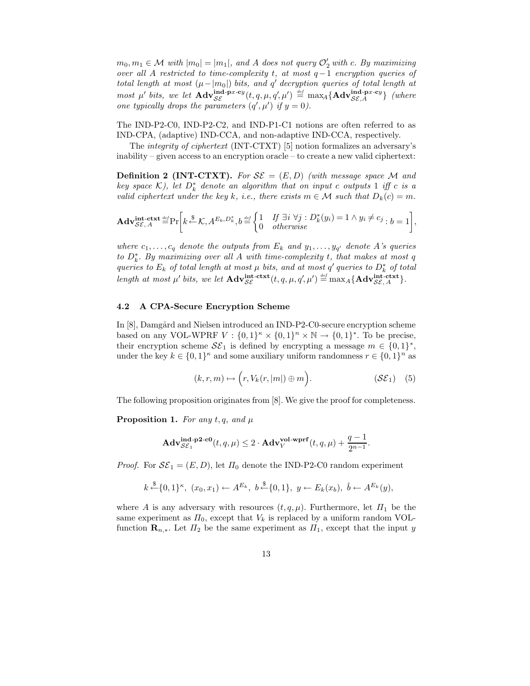$m_0, m_1 \in \mathcal{M}$  with  $|m_0| = |m_1|$ , and A does not query  $\mathcal{O}'_2$  with c. By maximizing over all A restricted to time-complexity t, at most  $q-1$  encryption queries of total length at most  $(\mu - |m_0|)$  bits, and q' decryption queries of total length at most  $\mu'$  bits, we let  $\mathbf{Adv}_{\mathcal{SE}}^{\mathbf{ind}\text{-}\mathbf{p}x\text{-}\mathbf{c}y}(t,q,\mu,q',\mu') \stackrel{\text{\tiny def}}{=} \max_{A} {\mathbf{Adv}_{\mathcal{SE},A}^{\mathbf{ind}\text{-}\mathbf{p}x\text{-}\mathbf{c}y}}$  (where one typically drops the parameters  $(q', \mu')$  if  $y = 0$ ).

The IND-P2-C0, IND-P2-C2, and IND-P1-C1 notions are often referred to as IND-CPA, (adaptive) IND-CCA, and non-adaptive IND-CCA, respectively.

The integrity of ciphertext (INT-CTXT) [5] notion formalizes an adversary's inability – given access to an encryption oracle – to create a new valid ciphertext:

**Definition 2 (INT-CTXT).** For  $\mathcal{SE} = (E, D)$  (with message space M and key space  $\mathcal{K}$ ), let  $D_k^*$  denote an algorithm that on input c outputs 1 iff c is a valid ciphertext under the key k, i.e., there exists  $m \in \mathcal{M}$  such that  $D_k(c) = m$ .

$$
\mathbf{Adv}_{\mathcal{SE},A}^{\mathbf{int}\text{-}\mathbf{ctxt}\stackrel{def}{=} }\Pr\bigg[k\stackrel{\$}{\leftarrow}\mathcal{K},A^{E_k,D_k^*},b\stackrel{def}{=}\begin{cases}1 & \text{if }\exists i\,\,\forall j:D_k^*(y_i)=1 \land y_i \neq c_j\\0 & otherwise\end{cases}:b=1\bigg],
$$

where  $c_1, \ldots, c_q$  denote the outputs from  $E_k$  and  $y_1, \ldots, y_{q'}$  denote A's queries to  $D_k^*$ . By maximizing over all A with time-complexity t, that makes at most  $q$ queries to  $E_k$  of total length at most  $\mu$  bits, and at most  $q'$  queries to  $D_k^*$  of total length at most  $\mu'$  bits, we let  $\mathbf{Adv}_{\mathcal{SE}}^{\mathbf{int}-\mathbf{ctxt}}(t, q, \mu, q', \mu') \stackrel{\text{def}}{=} \max_A \{ \mathbf{Adv}_{\mathcal{SE}, A}^{\mathbf{int}-\mathbf{ctxt}} \}.$ 

### 4.2 A CPA-Secure Encryption Scheme

In [8], Damgård and Nielsen introduced an IND-P2-C0-secure encryption scheme based on any VOL-WPRF  $V : \{0,1\}^n \times \{0,1\}^n \times \mathbb{N} \to \{0,1\}^*$ . To be precise, their encryption scheme  $\mathcal{SE}_1$  is defined by encrypting a message  $m \in \{0,1\}^*$ , under the key  $k \in \{0,1\}^{\kappa}$  and some auxiliary uniform randomness  $r \in \{0,1\}^n$  as

$$
(k, r, m) \mapsto (r, V_k(r, |m|) \oplus m). \tag{S\mathcal{E}_1} \tag{5}
$$

The following proposition originates from [8]. We give the proof for completeness.

**Proposition 1.** For any t, q, and  $\mu$ 

$$
\mathbf{Adv}_{\mathcal{SE}_1}^{\mathbf{ind}\text{-}\mathbf{p2}\text{-}\mathbf{c0}}(t,q,\mu) \leq 2 \cdot \mathbf{Adv}_{V}^{\mathbf{vol}\text{-}\mathbf{wprf}}(t,q,\mu) + \frac{q-1}{2^{n-1}}.
$$

*Proof.* For  $\mathcal{SE}_1 = (E, D)$ , let  $\Pi_0$  denote the IND-P2-C0 random experiment

$$
k \stackrel{\$}{\leftarrow} \{0,1\}^{\kappa}, (x_0, x_1) \leftarrow A^{E_k}, b \stackrel{\$}{\leftarrow} \{0,1\}, y \leftarrow E_k(x_b), \hat{b} \leftarrow A^{E_k}(y),
$$

where A is any adversary with resources  $(t, q, \mu)$ . Furthermore, let  $\Pi_1$  be the same experiment as  $\Pi_0$ , except that  $V_k$  is replaced by a uniform random VOLfunction  $\mathbf{R}_{n,*}$ . Let  $\Pi_2$  be the same experiment as  $\Pi_1$ , except that the input y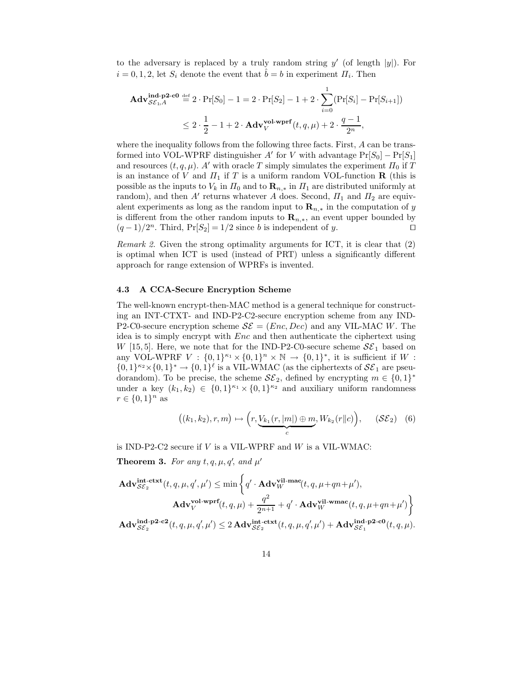to the adversary is replaced by a truly random string  $y'$  (of length  $|y|$ ). For  $i = 0, 1, 2$ , let  $S_i$  denote the event that  $\hat{b} = b$  in experiment  $\Pi_i$ . Then

$$
\mathbf{Adv}_{\mathcal{SE}_{1},A}^{\mathbf{ind}\text{-}\mathbf{p2}\text{-}\mathbf{c0}} \stackrel{\text{def}}{=} 2 \cdot \Pr[S_0] - 1 = 2 \cdot \Pr[S_2] - 1 + 2 \cdot \sum_{i=0}^{1} (\Pr[S_i] - \Pr[S_{i+1}])
$$
  

$$
\leq 2 \cdot \frac{1}{2} - 1 + 2 \cdot \mathbf{Adv}_{V}^{\mathbf{vol}\text{-}\mathbf{wprf}}(t, q, \mu) + 2 \cdot \frac{q-1}{2^n},
$$

where the inequality follows from the following three facts. First, A can be transformed into VOL-WPRF distinguisher  $A'$  for V with advantage  $Pr[S_0] - Pr[S_1]$ and resources  $(t, q, \mu)$ . A' with oracle T simply simulates the experiment  $\Pi_0$  if T is an instance of V and  $\Pi_1$  if T is a uniform random VOL-function **R** (this is possible as the inputs to  $V_k$  in  $\Pi_0$  and to  $\mathbf{R}_{n,*}$  in  $\Pi_1$  are distributed uniformly at random), and then  $A'$  returns whatever A does. Second,  $\Pi_1$  and  $\Pi_2$  are equivalent experiments as long as the random input to  $\mathbf{R}_{n,*}$  in the computation of y is different from the other random inputs to  $\mathbf{R}_{n,*}$ , an event upper bounded by  $(q-1)/2^n$ . Third, Pr[S<sub>2</sub>] = 1/2 since b is independent of y.

Remark 2. Given the strong optimality arguments for ICT, it is clear that (2) is optimal when ICT is used (instead of PRT) unless a significantly different approach for range extension of WPRFs is invented.

#### 4.3 A CCA-Secure Encryption Scheme

The well-known encrypt-then-MAC method is a general technique for constructing an INT-CTXT- and IND-P2-C2-secure encryption scheme from any IND-P2-C0-secure encryption scheme  $S\mathcal{E} = (Enc, Dec)$  and any VIL-MAC W. The idea is to simply encrypt with Enc and then authenticate the ciphertext using W [15, 5]. Here, we note that for the IND-P2-C0-secure scheme  $S\mathcal{E}_1$  based on any VOL-WPRF  $V : \{0,1\}^{\kappa_1} \times \{0,1\}^n \times \mathbb{N} \to \{0,1\}^*$ , it is sufficient if  $W$ :  $\{0,1\}^{\kappa_2}\times\{0,1\}^* \to \{0,1\}^{\ell}$  is a VIL-WMAC (as the ciphertexts of  $\mathcal{SE}_1$  are pseudorandom). To be precise, the scheme  $\mathcal{SE}_2$ , defined by encrypting  $m \in \{0,1\}^*$ under a key  $(k_1, k_2) \in \{0, 1\}^{\kappa_1} \times \{0, 1\}^{\kappa_2}$  and auxiliary uniform randomness  $r \in \{0,1\}^n$  as

$$
((k_1, k_2), r, m) \mapsto \left(r, \underbrace{V_{k_1}(r, |m|) \oplus m}_{c}, W_{k_2}(r||c)\right), \quad (\mathcal{SE}_2) \quad (6)
$$

is IND-P2-C2 secure if  $V$  is a VIL-WPRF and  $W$  is a VIL-WMAC:

**Theorem 3.** For any  $t, q, \mu, q'$ , and  $\mu'$ 

$$
\begin{aligned} \mathbf{Adv}_{\mathcal{SE}_{2}}^{\mathbf{int}\text{-}\mathbf{ctxt}}(t,q,\mu,q',\mu') &\leq \min\left\{ q'\cdot \mathbf{Adv}_{W}^{\mathbf{vil}\text{-}\mathbf{mac}}(t,q,\mu+qn+\mu'), \right. \\ \mathbf{Adv}_{V}^{\mathbf{vol}\text{-}\mathbf{wprf}}(t,q,\mu) &+ \frac{q^{2}}{2^{n+1}}+q'\cdot \mathbf{Adv}_{W}^{\mathbf{vil}\text{-}\mathbf{wmac}}(t,q,\mu+qn+\mu')\right\} \\ \mathbf{Adv}_{\mathcal{SE}_{2}}^{\mathbf{ind}\text{-}\mathbf{p2}\text{-}\mathbf{c2}}(t,q,\mu,q',\mu') &\leq 2\,\mathbf{Adv}_{\mathcal{SE}_{2}}^{\mathbf{int}\text{-}\mathbf{ctxt}}(t,q,\mu,q',\mu') + \mathbf{Adv}_{\mathcal{SE}_{1}}^{\mathbf{ind}\text{-}\mathbf{p2}\text{-}\mathbf{co}}(t,q,\mu). \end{aligned}
$$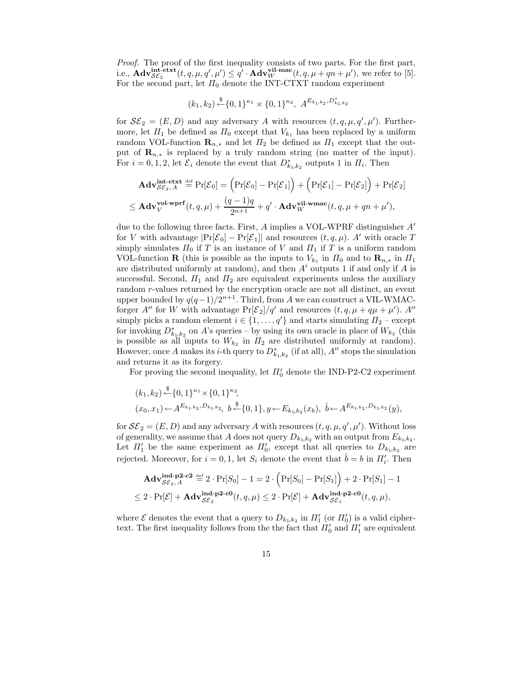Proof. The proof of the first inequality consists of two parts. For the first part, i.e.,  $\mathbf{Adv}_{\mathcal{SE}_2}^{\mathbf{int}-\mathbf{ctxt}}(t, q, \mu, q', \mu') \leq q' \cdot \mathbf{Adv}_{W}^{\mathbf{vil-mac}}(t, q, \mu + qn + \mu'),$  we refer to [5]. For the second part, let  $\Pi_0$  denote the INT-CTXT random experiment

$$
(k_1,k_2)\mathop{\stackrel{\$}}{\leftarrow} \{0,1\}^{\kappa_1}\times \{0,1\}^{\kappa_2},\ A^{E_{k_1,k_2},D_{k_1,k_2}^*}
$$

for  $\mathcal{SE}_2 = (E, D)$  and any adversary A with resources  $(t, q, \mu, q', \mu')$ . Furthermore, let  $\Pi_1$  be defined as  $\Pi_0$  except that  $V_{k_1}$  has been replaced by a uniform random VOL-function  $\mathbf{R}_{n,*}$  and let  $\Pi_2$  be defined as  $\Pi_1$  except that the output of  $\mathbf{R}_{n,*}$  is replaced by a truly random string (no matter of the input). For  $i = 0, 1, 2$ , let  $\mathcal{E}_i$  denote the event that  $D_{k_1,k_2}^*$  outputs 1 in  $\Pi_i$ . Then

$$
\mathbf{Adv}_{\mathcal{SE}_2,A}^{\mathbf{int}\text{-}\mathbf{ctxt}} \stackrel{\text{def}}{=} \Pr[\mathcal{E}_0] = \left(\Pr[\mathcal{E}_0] - \Pr[\mathcal{E}_1]\right) + \left(\Pr[\mathcal{E}_1] - \Pr[\mathcal{E}_2]\right) + \Pr[\mathcal{E}_2]
$$
\n
$$
\leq \mathbf{Adv}_{V}^{\mathbf{vol}\text{-}\mathbf{wprf}}(t, q, \mu) + \frac{(q-1)q}{2^{n+1}} + q' \cdot \mathbf{Adv}_{W}^{\mathbf{vil}\text{-}\mathbf{wmac}}(t, q, \mu + qn + \mu'),
$$

due to the following three facts. First,  $A$  implies a VOL-WPRF distinguisher  $A'$ for V with advantage  $\Pr[\mathcal{E}_0] - \Pr[\mathcal{E}_1]$  and resources  $(t, q, \mu)$ . A' with oracle T simply simulates  $\Pi_0$  if T is an instance of V and  $\Pi_1$  if T is a uniform random VOL-function **R** (this is possible as the inputs to  $V_{k_1}$  in  $\Pi_0$  and to  $\mathbf{R}_{n,*}$  in  $\Pi_1$ are distributed uniformly at random), and then  $A'$  outputs 1 if and only if  $A$  is successful. Second,  $\Pi_1$  and  $\Pi_2$  are equivalent experiments unless the auxiliary random r-values returned by the encryption oracle are not all distinct, an event upper bounded by  $q(q-1)/2^{n+1}$ . Third, from A we can construct a VIL-WMACforger  $A''$  for W with advantage  $Pr[\mathcal{E}_2]/q'$  and resources  $(t, q, \mu + q\mu + \mu')$ .  $A''$ simply picks a random element  $i \in \{1, \ldots, q'\}$  and starts simulating  $\Pi_2$  – except for invoking  $D^*_{k_1,k_2}$  on A's queries – by using its own oracle in place of  $W_{k_2}$  (this is possible as all inputs to  $W_{k_2}$  in  $\Pi_2$  are distributed uniformly at random). However, once A makes its *i*-th query to  $D^*_{k_1,k_2}$  (if at all), A'' stops the simulation and returns it as its forgery.

For proving the second inequality, let  $\Pi_0'$  denote the IND-P2-C2 experiment

$$
(k_1, k_2) \stackrel{\$}{\leftarrow} \{0, 1\}^{\kappa_1} \times \{0, 1\}^{\kappa_2},
$$
  

$$
(x_0, x_1) \leftarrow A^{E_{k_1, k_2}, D_{k_1, k_2}}, b \stackrel{\$}{\leftarrow} \{0, 1\}, y \leftarrow E_{k_1, k_2}(x_b), \hat{b} \leftarrow A^{E_{k_1, k_2}, D_{k_1, k_2}}(y),
$$

for  $\mathcal{SE}_2 = (E, D)$  and any adversary A with resources  $(t, q, \mu, q', \mu')$ . Without loss of generality, we assume that A does not query  $D_{k_1,k_2}$  with an output from  $E_{k_1,k_2}$ . Let  $\Pi'_1$  be the same experiment as  $\Pi'_0$ , except that all queries to  $D_{k_1,k_2}$  are rejected. Moreover, for  $i = 0, 1$ , let  $S_i$  denote the event that  $\hat{b} = b$  in  $\Pi'_i$ . Then

$$
\mathbf{Adv}_{\mathcal{SE}_2,A}^{\mathbf{ind}\text{-}\mathbf{p2}\text{-}\mathbf{c2}} \stackrel{\text{def}}{=} 2 \cdot \Pr[S_0] - 1 = 2 \cdot \left( \Pr[S_0] - \Pr[S_1] \right) + 2 \cdot \Pr[S_1] - 1
$$
  

$$
\leq 2 \cdot \Pr[\mathcal{E}] + \mathbf{Adv}_{\mathcal{SE}_2}^{\mathbf{ind}\text{-}\mathbf{p2}\text{-}\mathbf{c0}}(t, q, \mu) \leq 2 \cdot \Pr[\mathcal{E}] + \mathbf{Adv}_{\mathcal{SE}_1}^{\mathbf{ind}\text{-}\mathbf{p2}\text{-}\mathbf{c0}}(t, q, \mu),
$$

where  $\mathcal E$  denotes the event that a query to  $D_{k_1,k_2}$  in  $\Pi'_1$  (or  $\Pi'_0$ ) is a valid ciphertext. The first inequality follows from the the fact that  $\Pi_0'$  and  $\Pi_1'$  are equivalent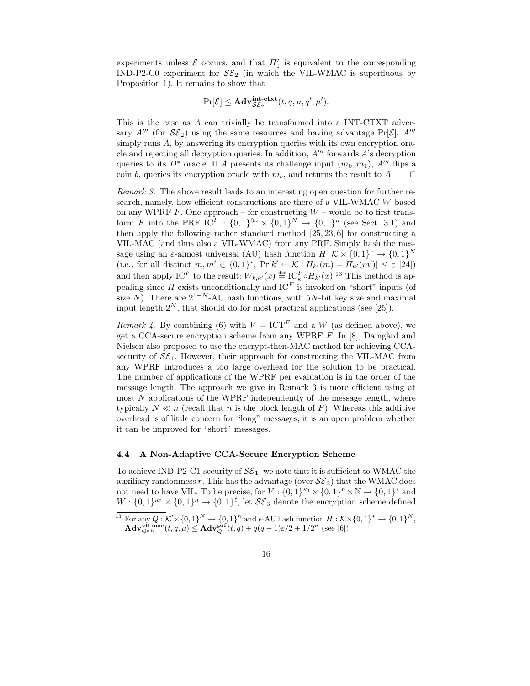experiments unless  $\mathcal E$  occurs, and that  $\Pi_1'$  is equivalent to the corresponding IND-P2-C0 experiment for  $\mathcal{SE}_2$  (in which the VIL-WMAC is superfluous by Proposition 1). It remains to show that

$$
\Pr[\mathcal{E}] \le \mathbf{Adv}_{\mathcal{SE}_2}^{\mathbf{int-ctxt}}(t, q, \mu, q', \mu').
$$

This is the case as A can trivially be transformed into a INT-CTXT adversary  $A^{\prime\prime\prime}$  (for  $\mathcal{SE}_2$ ) using the same resources and having advantage Pr[ $\mathcal{E}$ ].  $A^{\prime\prime\prime}$ simply runs A, by answering its encryption queries with its own encryption oracle and rejecting all decryption queries. In addition,  $A^{\prime\prime\prime}$  forwards A's decryption queries to its  $D^*$  oracle. If A presents its challenge input  $(m_0, m_1)$ , A<sup>*m*</sup> flips a coin b, queries its encryption oracle with  $m_b$ , and returns the result to A.  $\Box$ 

Remark 3. The above result leads to an interesting open question for further research, namely, how efficient constructions are there of a VIL-WMAC W based on any WPRF  $F$ . One approach – for constructing  $W$  – would be to first transform F into the PRF  $IC^F : \{0,1\}^{3n} \times \{0,1\}^N \to \{0,1\}^n$  (see Sect. 3.1) and then apply the following rather standard method  $[25, 23, 6]$  for constructing a VIL-MAC (and thus also a VIL-WMAC) from any PRF. Simply hash the message using an  $\varepsilon$ -almost universal (AU) hash function  $H:\mathcal{K}\times\{0,1\}^*\to\{0,1\}^N$ (i.e., for all distinct  $m, m' \in \{0, 1\}^*$ ,  $Pr[k' \leftarrow K : H_{k'}(m) = H_{k'}(m')] \leq \varepsilon$  [24]) and then apply  $IC^F$  to the result:  $W_{k,k'}(x) \stackrel{\text{def}}{=} IC^F_k \circ H_{k'}(x)$ .<sup>13</sup> This method is appealing since H exists unconditionally and  $IC<sup>F</sup>$  is invoked on "short" inputs (of size N). There are  $2^{1-N}$ -AU hash functions, with 5N-bit key size and maximal input length  $2^N$ , that should do for most practical applications (see [25]).

*Remark 4.* By combining (6) with  $V = ICT^F$  and a W (as defined above), we get a CCA-secure encryption scheme from any WPRF  $F$ . In [8], Damgård and Nielsen also proposed to use the encrypt-then-MAC method for achieving CCAsecurity of  $S\mathcal{E}_1$ . However, their approach for constructing the VIL-MAC from any WPRF introduces a too large overhead for the solution to be practical. The number of applications of the WPRF per evaluation is in the order of the message length. The approach we give in Remark 3 is more efficient using at most  $N$  applications of the WPRF independently of the message length, where typically  $N \ll n$  (recall that n is the block length of F). Whereas this additive overhead is of little concern for "long" messages, it is an open problem whether it can be improved for "short" messages.

#### 4.4 A Non-Adaptive CCA-Secure Encryption Scheme

To achieve IND-P2-C1-security of  $\mathcal{SE}_1$ , we note that it is sufficient to WMAC the auxiliary randomness r. This has the advantage (over  $\mathcal{SE}_2$ ) that the WMAC does not need to have VIL. To be precise, for  $V : \{0,1\}^{\kappa_1} \times \{0,1\}^n \times \mathbb{N} \to \{0,1\}^*$  and  $W: \{0,1\}^{\kappa_2} \times \{0,1\}^n \to \{0,1\}^{\ell}$ , let  $\mathcal{SE}_3$  denote the encryption scheme defined

<sup>&</sup>lt;sup>13</sup> For any  $Q: \mathcal{K}' \times \{0,1\}^N \to \{0,1\}^n$  and  $\epsilon$ -AU hash function  $H: \mathcal{K} \times \{0,1\}^* \to \{0,1\}^N$ ,  $\mathbf{Adv}_{Q \circ H}^{\mathbf{vil-mac}}(t, q, \mu) \leq \mathbf{Adv}_{Q}^{\mathbf{prf}}(t, q) + q(q-1)\varepsilon/2 + 1/2^{n} \text{ (see [6]).}$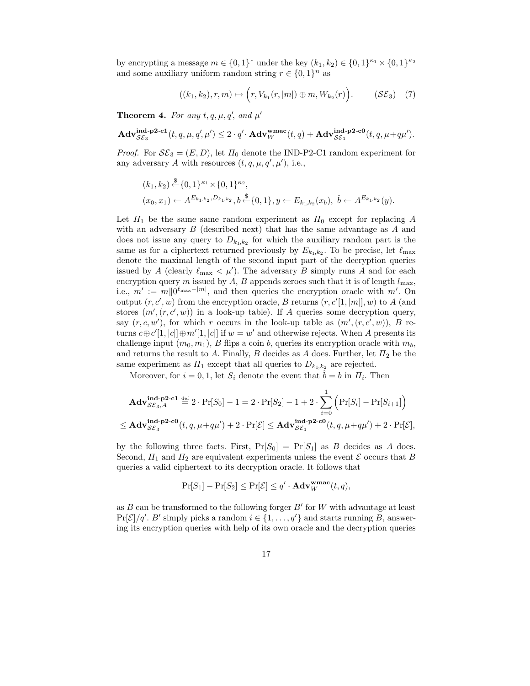by encrypting a message  $m \in \{0,1\}^*$  under the key  $(k_1, k_2) \in \{0,1\}^{\kappa_1} \times \{0,1\}^{\kappa_2}$ and some auxiliary uniform random string  $r \in \{0,1\}^n$  as

$$
((k_1, k_2), r, m) \mapsto \Big( r, V_{k_1}(r, |m|) \oplus m, W_{k_2}(r) \Big). \qquad (\mathcal{SE}_3) \quad (7)
$$

**Theorem 4.** For any  $t, q, \mu, q'$ , and  $\mu'$ 

$$
\mathbf{Adv}_{\mathcal{SE}_{3}}^{\mathbf{ind}\text{-}\mathbf{p2}\text{-}\mathbf{c1}}(t,q,\mu,q',\mu') \leq 2 \cdot q' \cdot \mathbf{Adv}_{W}^{\mathbf{wmac}}(t,q) + \mathbf{Adv}_{\mathcal{SE}_{1}}^{\mathbf{ind}\text{-}\mathbf{p2}\text{-}\mathbf{c0}}(t,q,\mu+q\mu').
$$

*Proof.* For  $S\mathcal{E}_3 = (E, D)$ , let  $\Pi_0$  denote the IND-P2-C1 random experiment for any adversary A with resources  $(t, q, \mu, q', \mu')$ , i.e.,

$$
(k_1, k_2) \stackrel{\$}{\leftarrow} \{0, 1\}^{\kappa_1} \times \{0, 1\}^{\kappa_2},
$$
  

$$
(x_0, x_1) \leftarrow A^{E_{k_1, k_2}, D_{k_1, k_2}}, b \stackrel{\$}{\leftarrow} \{0, 1\}, y \leftarrow E_{k_1, k_2}(x_b), \hat{b} \leftarrow A^{E_{k_1, k_2}}(y).
$$

Let  $\Pi_1$  be the same same random experiment as  $\Pi_0$  except for replacing A with an adversary  $B$  (described next) that has the same advantage as  $A$  and does not issue any query to  $D_{k_1,k_2}$  for which the auxiliary random part is the same as for a ciphertext returned previously by  $E_{k_1,k_2}$ . To be precise, let  $\ell_{\max}$ denote the maximal length of the second input part of the decryption queries issued by A (clearly  $\ell_{\max} < \mu'$ ). The adversary B simply runs A and for each encryption query m issued by  $A, B$  appends zeroes such that it is of length  $l_{\text{max}}$ , i.e.,  $m' := m||0^{\ell_{\max}-|m|}$ , and then queries the encryption oracle with  $m'$ . On output  $(r, c', w)$  from the encryption oracle, B returns  $(r, c'[1, |m|], w)$  to A (and stores  $(m', (r, c', w))$  in a look-up table). If A queries some decryption query, say  $(r, c, w')$ , for which r occurs in the look-up table as  $(m', (r, c', w))$ , B returns  $c \oplus c'[1, |c|] \oplus m'[1, |c|]$  if  $w = w'$  and otherwise rejects. When A presents its challenge input  $(m_0, m_1)$ , B flips a coin b, queries its encryption oracle with  $m_b$ , and returns the result to A. Finally, B decides as A does. Further, let  $\Pi_2$  be the same experiment as  $\Pi_1$  except that all queries to  $D_{k_1,k_2}$  are rejected.

Moreover, for  $i = 0, 1$ , let  $S_i$  denote the event that  $\hat{b} = b$  in  $\Pi_i$ . Then

$$
\mathbf{Adv}_{\mathcal{SE}_3,A}^{\mathbf{ind}\text{-}\mathbf{p2}\text{-}\mathbf{cl}} \stackrel{\text{def}}{=} 2 \cdot \Pr[S_0] - 1 = 2 \cdot \Pr[S_2] - 1 + 2 \cdot \sum_{i=0}^{1} \left( \Pr[S_i] - \Pr[S_{i+1}] \right)
$$
  

$$
\leq \mathbf{Adv}_{\mathcal{SE}_3}^{\mathbf{ind}\text{-}\mathbf{p2}\text{-}\mathbf{cl}}(t, q, \mu + q\mu') + 2 \cdot \Pr[\mathcal{E}] \leq \mathbf{Adv}_{\mathcal{SE}_1}^{\mathbf{ind}\text{-}\mathbf{p2}\text{-}\mathbf{cl}}(t, q, \mu + q\mu') + 2 \cdot \Pr[\mathcal{E}],
$$

by the following three facts. First,  $Pr[S_0] = Pr[S_1]$  as B decides as A does. Second,  $\Pi_1$  and  $\Pi_2$  are equivalent experiments unless the event  $\mathcal E$  occurs that B queries a valid ciphertext to its decryption oracle. It follows that

$$
\Pr[S_1] - \Pr[S_2] \le \Pr[\mathcal{E}] \le q' \cdot \mathbf{Adv}_{W}^{\mathbf{wmac}}(t, q),
$$

as  $B$  can be transformed to the following forger  $B'$  for W with advantage at least  $Pr[\mathcal{E}]/q'$ . B' simply picks a random  $i \in \{1, ..., q'\}$  and starts running B, answering its encryption queries with help of its own oracle and the decryption queries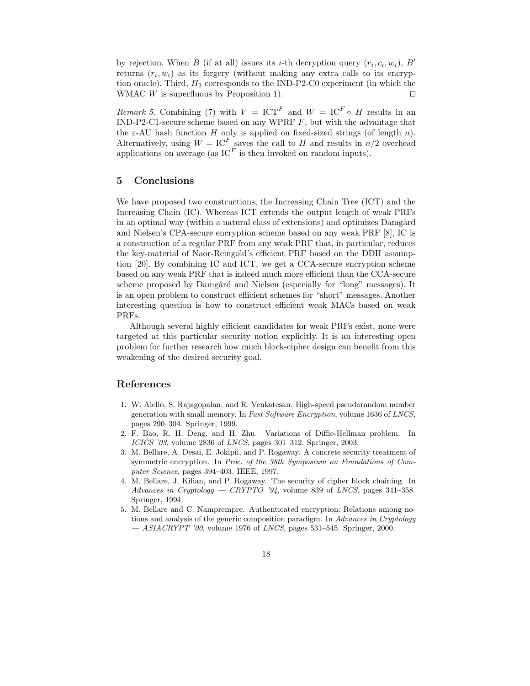by rejection. When B (if at all) issues its *i*-th decryption query  $(r_i, c_i, w_i)$ , B' returns  $(r_i, w_i)$  as its forgery (without making any extra calls to its encryption oracle). Third,  $\Pi_2$  corresponds to the IND-P2-C0 experiment (in which the WMAC W is superfluous by Proposition 1).  $\square$ 

*Remark 5.* Combining (7) with  $V = ICT^F$  and  $W = IC^F \circ H$  results in an IND-P2-C1-secure scheme based on any WPRF  $F$ , but with the advantage that the  $\varepsilon$ -AU hash function H only is applied on fixed-sized strings (of length n). Alternatively, using  $W = \mathrm{IC}^F$  saves the call to H and results in  $n/2$  overhead applications on average (as  $IC<sup>F</sup>$  is then invoked on random inputs).

## 5 Conclusions

We have proposed two constructions, the Increasing Chain Tree (ICT) and the Increasing Chain (IC). Whereas ICT extends the output length of weak PRFs in an optimal way (within a natural class of extensions) and optimizes Damgård and Nielsen's CPA-secure encryption scheme based on any weak PRF [8], IC is a construction of a regular PRF from any weak PRF that, in particular, reduces the key-material of Naor-Reingold's efficient PRF based on the DDH assumption [20]. By combining IC and ICT, we get a CCA-secure encryption scheme based on any weak PRF that is indeed much more efficient than the CCA-secure scheme proposed by Damgård and Nielsen (especially for "long" messages). It is an open problem to construct efficient schemes for "short" messages. Another interesting question is how to construct efficient weak MACs based on weak PRFs.

Although several highly efficient candidates for weak PRFs exist, none were targeted at this particular security notion explicitly. It is an interesting open problem for further research how much block-cipher design can benefit from this weakening of the desired security goal.

### References

- 1. W. Aiello, S. Rajagopalan, and R. Venkatesan. High-speed pseudorandom number generation with small memory. In Fast Software Encryption, volume 1636 of LNCS, pages 290–304. Springer, 1999.
- 2. F. Bao, R. H. Deng, and H. Zhu. Variations of Diffie-Hellman problem. In ICICS '03, volume 2836 of LNCS, pages 301-312. Springer, 2003.
- 3. M. Bellare, A. Desai, E. Jokipii, and P. Rogaway. A concrete security treatment of symmetric encryption. In Proc. of the 38th Symposium on Foundations of Computer Science, pages 394–403. IEEE, 1997.
- 4. M. Bellare, J. Kilian, and P. Rogaway. The security of cipher block chaining. In Advances in Cryptology — CRYPTO '94, volume 839 of LNCS, pages 341–358. Springer, 1994.
- 5. M. Bellare and C. Namprempre. Authenticated encryption: Relations among notions and analysis of the generic composition paradigm. In Advances in Cryptology  $-$  ASIACRYPT '00, volume 1976 of LNCS, pages 531–545. Springer, 2000.